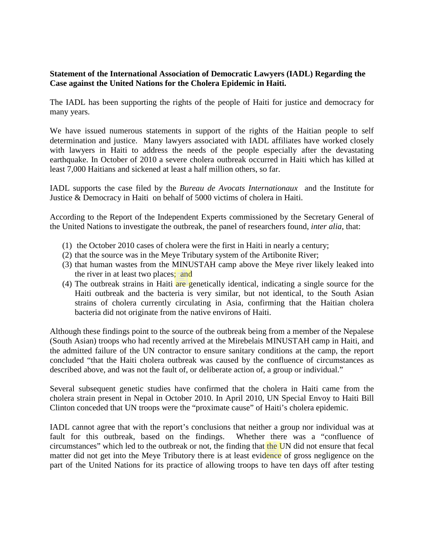## **Statement of the International Association of Democratic Lawyers (IADL) Regarding the Case against the United Nations for the Cholera Epidemic in Haiti.**

The IADL has been supporting the rights of the people of Haiti for justice and democracy for many years.

We have issued numerous statements in support of the rights of the Haitian people to self determination and justice. Many lawyers associated with IADL affiliates have worked closely with lawyers in Haiti to address the needs of the people especially after the devastating earthquake. In October of 2010 a severe cholera outbreak occurred in Haiti which has killed at least 7,000 Haitians and sickened at least a half million others, so far.

IADL supports the case filed by the *Bureau de Avocats Internationaux* and the Institute for Justice & Democracy in Haiti on behalf of 5000 victims of cholera in Haiti.

According to the Report of the Independent Experts commissioned by the Secretary General of the United Nations to investigate the outbreak, the panel of researchers found, *inter alia*, that:

- (1) the October 2010 cases of cholera were the first in Haiti in nearly a century;
- (2) that the source was in the Meye Tributary system of the Artibonite River;
- (3) that human wastes from the MINUSTAH camp above the Meye river likely leaked into the river in at least two places; and
- (4) The outbreak strains in Haiti are genetically identical, indicating a single source for the Haiti outbreak and the bacteria is very similar, but not identical, to the South Asian strains of cholera currently circulating in Asia, confirming that the Haitian cholera bacteria did not originate from the native environs of Haiti.

Although these findings point to the source of the outbreak being from a member of the Nepalese (South Asian) troops who had recently arrived at the Mirebelais MINUSTAH camp in Haiti, and the admitted failure of the UN contractor to ensure sanitary conditions at the camp, the report concluded "that the Haiti cholera outbreak was caused by the confluence of circumstances as described above, and was not the fault of, or deliberate action of, a group or individual."

Several subsequent genetic studies have confirmed that the cholera in Haiti came from the cholera strain present in Nepal in October 2010. In April 2010, UN Special Envoy to Haiti Bill Clinton conceded that UN troops were the "proximate cause" of Haiti's cholera epidemic.

IADL cannot agree that with the report's conclusions that neither a group nor individual was at fault for this outbreak, based on the findings. Whether there was a "confluence of circumstances" which led to the outbreak or not, the finding that the UN did not ensure that fecal matter did not get into the Meye Tributory there is at least evidence of gross negligence on the part of the United Nations for its practice of allowing troops to have ten days off after testing